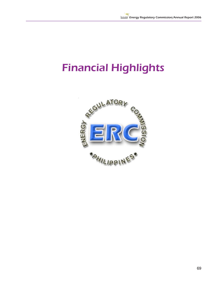## Financial Highlights

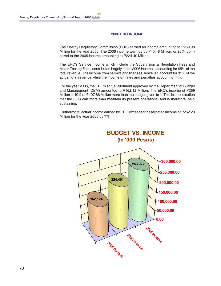## **2006 ERC INCOME**

The Energy Regulatory Commission (ERC) earned an income amounting to P269.98 Million for the year 2006. The 2006 income went up by P45.48 Million, or 20%, compared to the 2005 income amounting to P224.40 Million.

The ERC's Service income which include the Supervision & Regulation Fees and Meter Testing Fees, contributed largely to the 2006 income, accounting for 65% of the total revenue. The income from permits and licenses, however, account for 31% of the actual total revenue while the income on fines and penalties account for 4%.

For the year 2006, the ERC's actual allotment approved by the Department of Budget and Management (DBM) amounted to P162.12 Million. The ERC's income of P269 Million is 40% or P107.86 Million more than the budget given to it. This is an indication that the ERC can more than maintain its present operations, and is therefore, selfsustaining.

Furthermore, actual income earned by ERC exceeded the targeted income of P252.20 Million for the year 2006 by 7%.

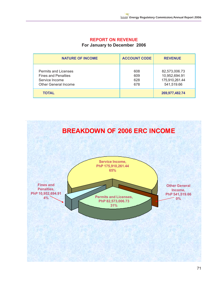## **REPORT ON REVENUE**

**For January to December 2006**

| <b>NATURE OF INCOME</b>                                                                                    | <b>ACCOUNT CODE</b>      | <b>REVENUE</b>                                                 |
|------------------------------------------------------------------------------------------------------------|--------------------------|----------------------------------------------------------------|
| <b>Permits and Licenses</b><br><b>Fines and Penalties</b><br>Service Income<br><b>Other General Income</b> | 608<br>609<br>628<br>678 | 82,573,006.73<br>10,952,694.91<br>175,910,261.44<br>541,519.66 |
| <b>TOTAL</b>                                                                                               |                          | 269,977,482.74                                                 |

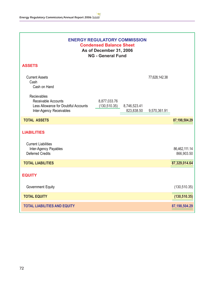| <b>ENERGY REGULATORY COMMISSION</b><br><b>Condensed Balance Sheet</b><br>As of December 31, 2006<br><b>NG - General Fund</b> |                               |                            |               |                             |  |
|------------------------------------------------------------------------------------------------------------------------------|-------------------------------|----------------------------|---------------|-----------------------------|--|
| <b>ASSETS</b>                                                                                                                |                               |                            |               |                             |  |
| <b>Current Assets</b><br>Cash<br>Cash on Hand                                                                                |                               |                            | 77,628,142.38 |                             |  |
| Recievables<br>Receivable Accounts<br>Less Allowance for Doubtful Accounts<br>Inter-Agency Receivables                       | 8,877,033.76<br>(130, 510.35) | 8,746,523.41<br>823,838.50 | 9,570,361.91  |                             |  |
| <b>TOTAL ASSETS</b>                                                                                                          |                               |                            |               | 87,198,504.29               |  |
| <b>LIABILITIES</b>                                                                                                           |                               |                            |               |                             |  |
| <b>Current Liabilities</b><br>Inter-Agency Payables<br><b>Deferred Credits</b>                                               |                               |                            |               | 86,462,111.14<br>866,903.50 |  |
| <b>TOTAL LIABILITIES</b>                                                                                                     |                               |                            |               | 87,329,014.64               |  |
| <b>EQUITY</b>                                                                                                                |                               |                            |               |                             |  |
| <b>Government Equity</b>                                                                                                     |                               |                            |               | (130, 510.35)               |  |
| <b>TOTAL EQUITY</b>                                                                                                          |                               |                            |               | (130, 510.35)               |  |
| <b>TOTAL LIABILITIES AND EQUITY</b>                                                                                          |                               |                            |               | 87,198,504.29               |  |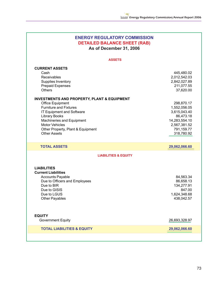| <b>ENERGY REGULATORY COMMISSION</b><br><b>DETAILED BALANCE SHEET (RAB)</b><br>As of December 31, 2006                                                                                                                                                                                                                                                                                                       |                                                                                                                                                                                               |  |  |  |
|-------------------------------------------------------------------------------------------------------------------------------------------------------------------------------------------------------------------------------------------------------------------------------------------------------------------------------------------------------------------------------------------------------------|-----------------------------------------------------------------------------------------------------------------------------------------------------------------------------------------------|--|--|--|
| <b>ASSETS</b>                                                                                                                                                                                                                                                                                                                                                                                               |                                                                                                                                                                                               |  |  |  |
| <b>CURRENT ASSETS</b><br>Cash<br>Receivables<br>Supplies Inventory<br><b>Prepaid Expenses</b><br><b>Others</b><br><b>INVESTMENTS AND PROPERTY, PLANT &amp; EQUIPMENT</b><br><b>Office Equipment</b><br><b>Furniture and Fixtures</b><br>IT Equipment and Software<br><b>Library Books</b><br>Machineries and Equipment<br><b>Motor Vehicles</b><br>Other Property, Plant & Equipment<br><b>Other Assets</b> | 445,480.02<br>2,012,542.03<br>2,842,027.89<br>211,077.55<br>37,620.00<br>298,870.17<br>1,552,056.05<br>3,615,043.40<br>86,473.18<br>14,283,554.10<br>2,567,381.52<br>791,159.77<br>318,780.92 |  |  |  |
| <b>TOTAL ASSETS</b>                                                                                                                                                                                                                                                                                                                                                                                         | 29,062,066.60                                                                                                                                                                                 |  |  |  |
| <b>LIABILITIES &amp; EQUITY</b><br><b>LIABILITIES</b><br><b>Current Liabilities</b><br><b>Accounts Payable</b><br>Due to Officers and Employees<br>Due to BIR<br>Due to GISIS<br>Due to LGUS<br>Other Payables                                                                                                                                                                                              | 84,563.34<br>86,658.13<br>134,277.91<br>847.00<br>1,624,348.68<br>438,042.57                                                                                                                  |  |  |  |
| <b>EQUITY</b><br><b>Government Equity</b>                                                                                                                                                                                                                                                                                                                                                                   | 26,693,328.97                                                                                                                                                                                 |  |  |  |
| <b>TOTAL LIABILITIES &amp; EQUITY</b>                                                                                                                                                                                                                                                                                                                                                                       | 29,062,066.60                                                                                                                                                                                 |  |  |  |